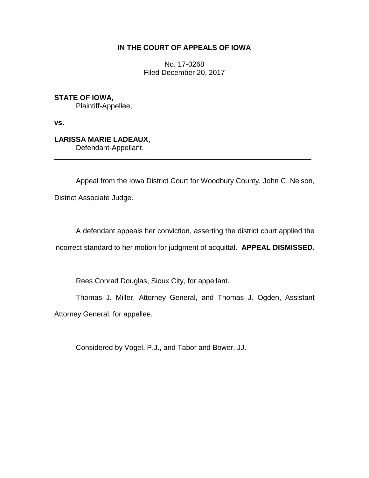## **IN THE COURT OF APPEALS OF IOWA**

No. 17-0268 Filed December 20, 2017

**STATE OF IOWA,** Plaintiff-Appellee,

**vs.**

**LARISSA MARIE LADEAUX,** Defendant-Appellant.

Appeal from the Iowa District Court for Woodbury County, John C. Nelson, District Associate Judge.

\_\_\_\_\_\_\_\_\_\_\_\_\_\_\_\_\_\_\_\_\_\_\_\_\_\_\_\_\_\_\_\_\_\_\_\_\_\_\_\_\_\_\_\_\_\_\_\_\_\_\_\_\_\_\_\_\_\_\_\_\_\_\_\_

A defendant appeals her conviction, asserting the district court applied the incorrect standard to her motion for judgment of acquittal. **APPEAL DISMISSED.**

Rees Conrad Douglas, Sioux City, for appellant.

Thomas J. Miller, Attorney General, and Thomas J. Ogden, Assistant Attorney General, for appellee.

Considered by Vogel, P.J., and Tabor and Bower, JJ.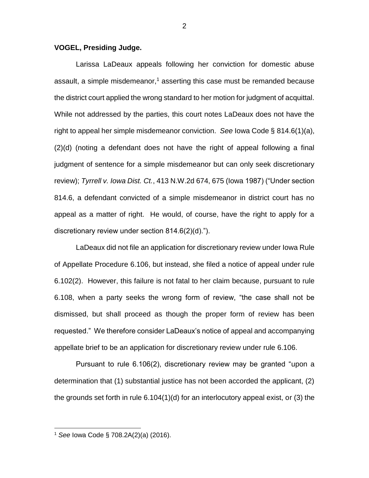## **VOGEL, Presiding Judge.**

Larissa LaDeaux appeals following her conviction for domestic abuse assault, a simple misdemeanor,<sup>1</sup> asserting this case must be remanded because the district court applied the wrong standard to her motion for judgment of acquittal. While not addressed by the parties, this court notes LaDeaux does not have the right to appeal her simple misdemeanor conviction. *See* Iowa Code § 814.6(1)(a), (2)(d) (noting a defendant does not have the right of appeal following a final judgment of sentence for a simple misdemeanor but can only seek discretionary review); *Tyrrell v. Iowa Dist. Ct.*, 413 N.W.2d 674, 675 (Iowa 1987) ("Under section 814.6, a defendant convicted of a simple misdemeanor in district court has no appeal as a matter of right. He would, of course, have the right to apply for a discretionary review under section 814.6(2)(d).").

LaDeaux did not file an application for discretionary review under Iowa Rule of Appellate Procedure 6.106, but instead, she filed a notice of appeal under rule 6.102(2). However, this failure is not fatal to her claim because, pursuant to rule 6.108, when a party seeks the wrong form of review, "the case shall not be dismissed, but shall proceed as though the proper form of review has been requested." We therefore consider LaDeaux's notice of appeal and accompanying appellate brief to be an application for discretionary review under rule 6.106.

Pursuant to rule 6.106(2), discretionary review may be granted "upon a determination that (1) substantial justice has not been accorded the applicant, (2) the grounds set forth in rule 6.104(1)(d) for an interlocutory appeal exist, or (3) the

 $\overline{a}$ 

<sup>1</sup> *See* Iowa Code § 708.2A(2)(a) (2016).